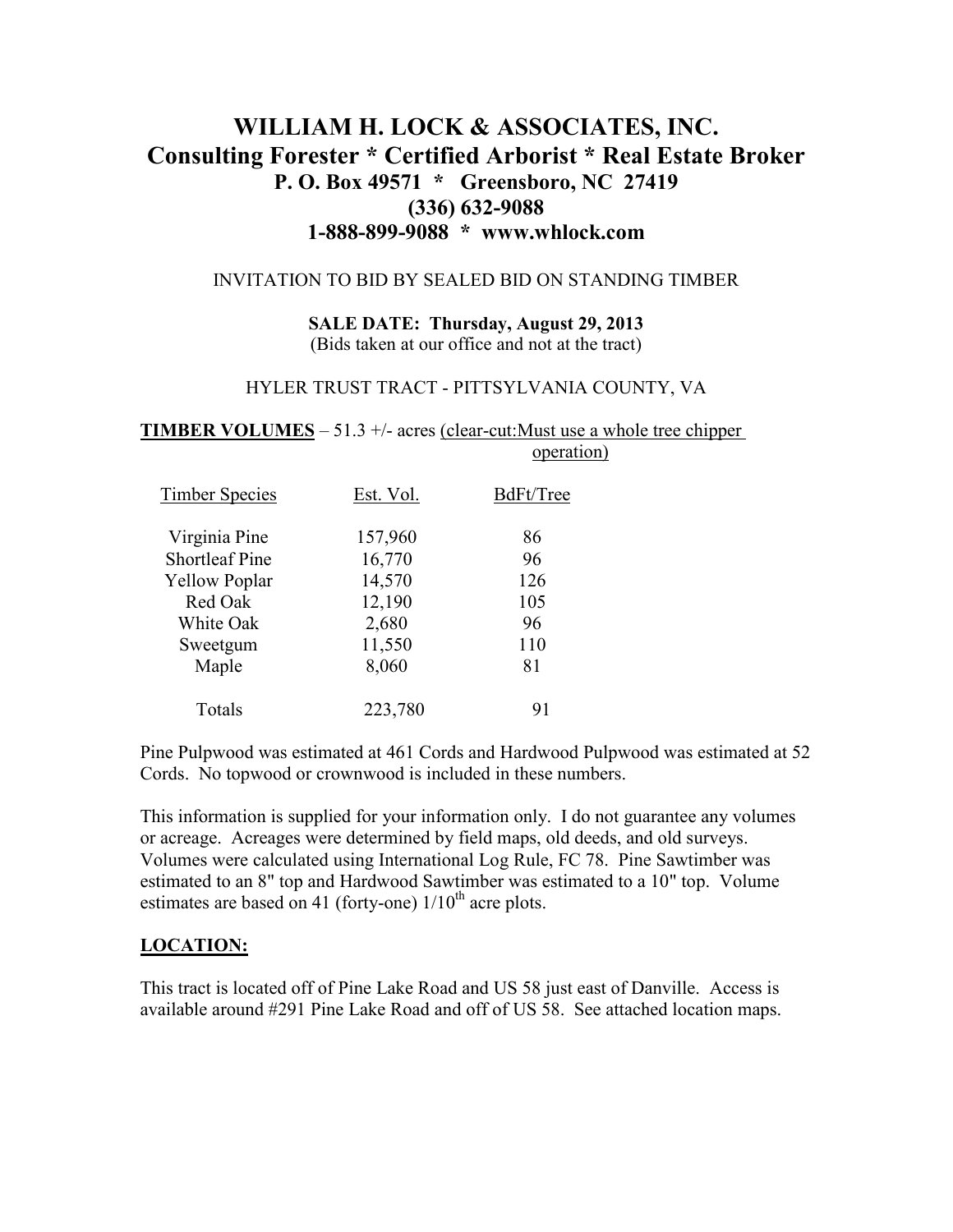# **WILLIAM H. LOCK & ASSOCIATES, INC. Consulting Forester \* Certified Arborist \* Real Estate Broker P. O. Box 49571 \* Greensboro, NC 27419 (336) 632-9088 1-888-899-9088 \* www.whlock.com**

#### INVITATION TO BID BY SEALED BID ON STANDING TIMBER

**SALE DATE: Thursday, August 29, 2013**  (Bids taken at our office and not at the tract)

#### HYLER TRUST TRACT - PITTSYLVANIA COUNTY, VA

**TIMBER VOLUMES** – 51.3 +/- acres (clear-cut:Must use a whole tree chipper operation)

| <b>Timber Species</b> | Est. Vol. | BdFt/Tree |
|-----------------------|-----------|-----------|
| Virginia Pine         | 157,960   | 86        |
| <b>Shortleaf Pine</b> | 16,770    | 96        |
| <b>Yellow Poplar</b>  | 14,570    | 126       |
| Red Oak               | 12,190    | 105       |
| White Oak             | 2,680     | 96        |
| Sweetgum              | 11,550    | 110       |
| Maple                 | 8,060     | 81        |
| Totals                | 223,780   | 91        |

Pine Pulpwood was estimated at 461 Cords and Hardwood Pulpwood was estimated at 52 Cords. No topwood or crownwood is included in these numbers.

This information is supplied for your information only. I do not guarantee any volumes or acreage. Acreages were determined by field maps, old deeds, and old surveys. Volumes were calculated using International Log Rule, FC 78. Pine Sawtimber was estimated to an 8" top and Hardwood Sawtimber was estimated to a 10" top. Volume estimates are based on 41 (forty-one)  $1/10^{th}$  acre plots.

#### **LOCATION:**

This tract is located off of Pine Lake Road and US 58 just east of Danville. Access is available around #291 Pine Lake Road and off of US 58. See attached location maps.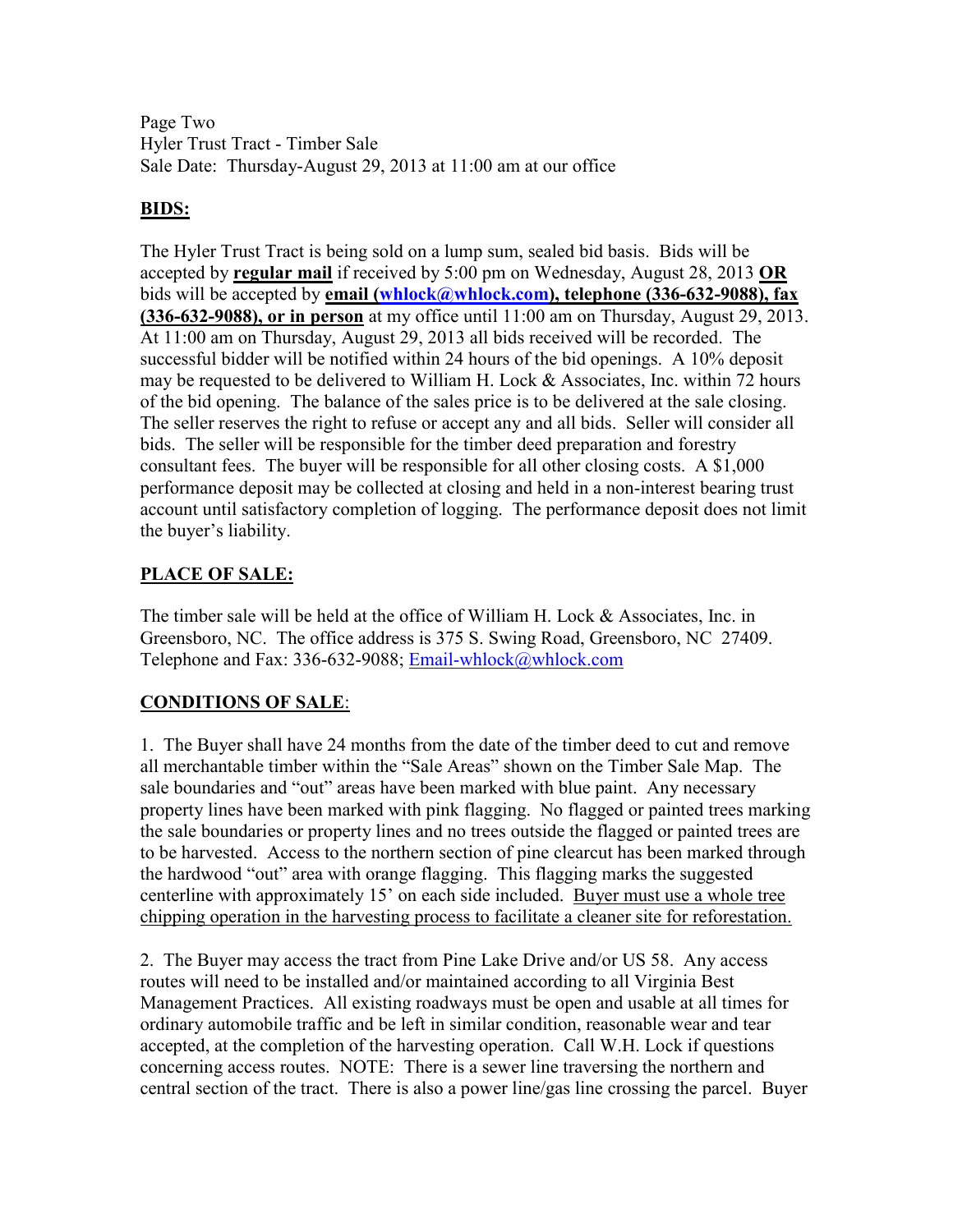Page Two Hyler Trust Tract - Timber Sale Sale Date: Thursday-August 29, 2013 at 11:00 am at our office

### **BIDS:**

The Hyler Trust Tract is being sold on a lump sum, sealed bid basis. Bids will be accepted by **regular mail** if received by 5:00 pm on Wednesday, August 28, 2013 **OR** bids will be accepted by **email (whlock@whlock.com), telephone (336-632-9088), fax (336-632-9088), or in person** at my office until 11:00 am on Thursday, August 29, 2013. At 11:00 am on Thursday, August 29, 2013 all bids received will be recorded. The successful bidder will be notified within 24 hours of the bid openings. A 10% deposit may be requested to be delivered to William H. Lock & Associates, Inc. within 72 hours of the bid opening. The balance of the sales price is to be delivered at the sale closing. The seller reserves the right to refuse or accept any and all bids. Seller will consider all bids. The seller will be responsible for the timber deed preparation and forestry consultant fees. The buyer will be responsible for all other closing costs. A \$1,000 performance deposit may be collected at closing and held in a non-interest bearing trust account until satisfactory completion of logging. The performance deposit does not limit the buyer's liability.

### **PLACE OF SALE:**

The timber sale will be held at the office of William H. Lock & Associates, Inc. in Greensboro, NC. The office address is 375 S. Swing Road, Greensboro, NC 27409. Telephone and Fax: 336-632-9088; Email-whlock@whlock.com

## **CONDITIONS OF SALE**:

1. The Buyer shall have 24 months from the date of the timber deed to cut and remove all merchantable timber within the "Sale Areas" shown on the Timber Sale Map. The sale boundaries and "out" areas have been marked with blue paint. Any necessary property lines have been marked with pink flagging. No flagged or painted trees marking the sale boundaries or property lines and no trees outside the flagged or painted trees are to be harvested. Access to the northern section of pine clearcut has been marked through the hardwood "out" area with orange flagging. This flagging marks the suggested centerline with approximately 15' on each side included. Buyer must use a whole tree chipping operation in the harvesting process to facilitate a cleaner site for reforestation.

2. The Buyer may access the tract from Pine Lake Drive and/or US 58. Any access routes will need to be installed and/or maintained according to all Virginia Best Management Practices. All existing roadways must be open and usable at all times for ordinary automobile traffic and be left in similar condition, reasonable wear and tear accepted, at the completion of the harvesting operation. Call W.H. Lock if questions concerning access routes. NOTE: There is a sewer line traversing the northern and central section of the tract. There is also a power line/gas line crossing the parcel. Buyer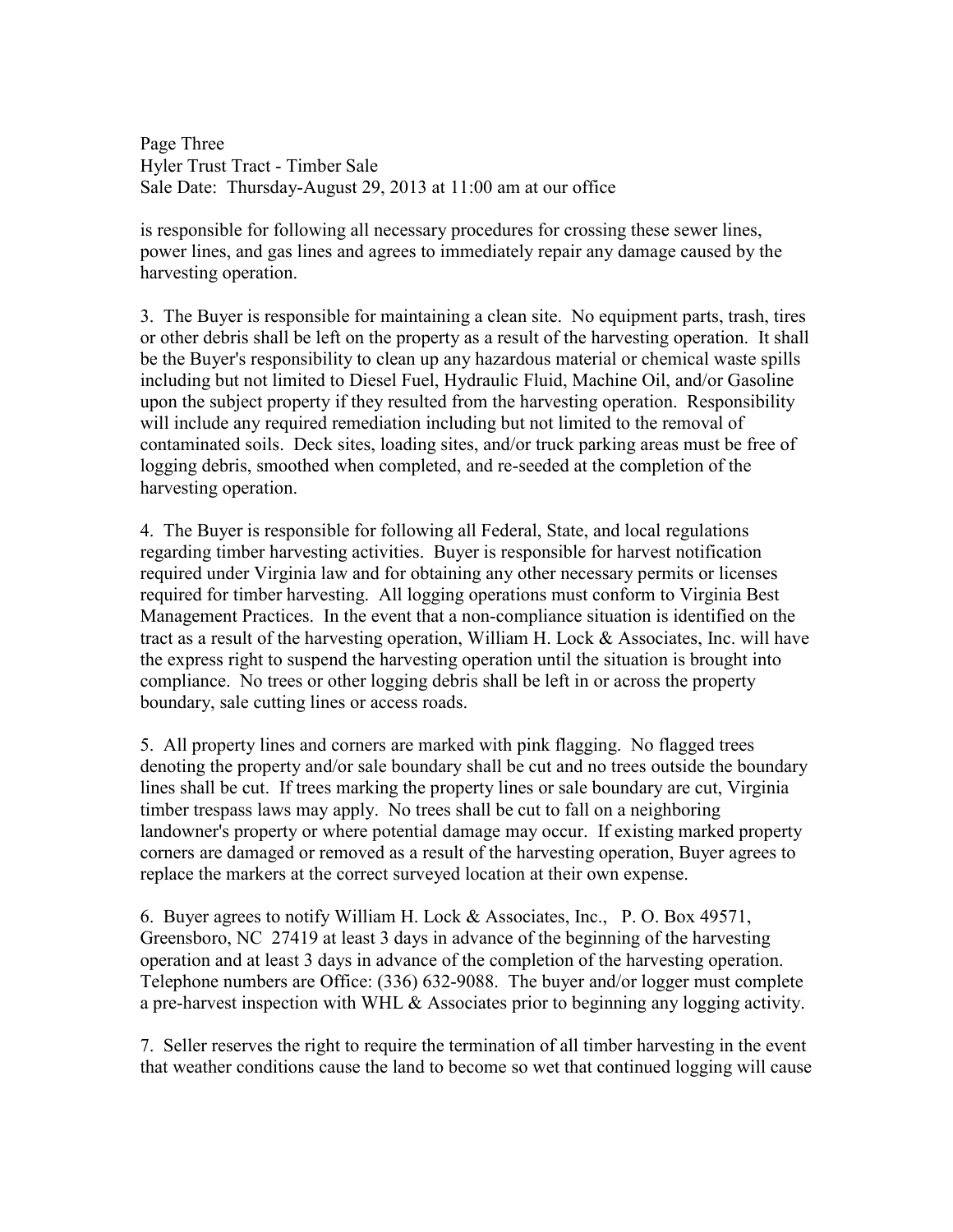Page Three Hyler Trust Tract - Timber Sale Sale Date: Thursday-August 29, 2013 at 11:00 am at our office

is responsible for following all necessary procedures for crossing these sewer lines, power lines, and gas lines and agrees to immediately repair any damage caused by the harvesting operation.

3. The Buyer is responsible for maintaining a clean site. No equipment parts, trash, tires or other debris shall be left on the property as a result of the harvesting operation. It shall be the Buyer's responsibility to clean up any hazardous material or chemical waste spills including but not limited to Diesel Fuel, Hydraulic Fluid, Machine Oil, and/or Gasoline upon the subject property if they resulted from the harvesting operation. Responsibility will include any required remediation including but not limited to the removal of contaminated soils. Deck sites, loading sites, and/or truck parking areas must be free of logging debris, smoothed when completed, and re-seeded at the completion of the harvesting operation.

4. The Buyer is responsible for following all Federal, State, and local regulations regarding timber harvesting activities. Buyer is responsible for harvest notification required under Virginia law and for obtaining any other necessary permits or licenses required for timber harvesting. All logging operations must conform to Virginia Best Management Practices. In the event that a non-compliance situation is identified on the tract as a result of the harvesting operation, William H. Lock & Associates, Inc. will have the express right to suspend the harvesting operation until the situation is brought into compliance. No trees or other logging debris shall be left in or across the property boundary, sale cutting lines or access roads.

5. All property lines and corners are marked with pink flagging. No flagged trees denoting the property and/or sale boundary shall be cut and no trees outside the boundary lines shall be cut. If trees marking the property lines or sale boundary are cut, Virginia timber trespass laws may apply. No trees shall be cut to fall on a neighboring landowner's property or where potential damage may occur. If existing marked property corners are damaged or removed as a result of the harvesting operation, Buyer agrees to replace the markers at the correct surveyed location at their own expense.

6. Buyer agrees to notify William H. Lock & Associates, Inc., P. O. Box 49571, Greensboro, NC 27419 at least 3 days in advance of the beginning of the harvesting operation and at least 3 days in advance of the completion of the harvesting operation. Telephone numbers are Office: (336) 632-9088. The buyer and/or logger must complete a pre-harvest inspection with WHL & Associates prior to beginning any logging activity.

7. Seller reserves the right to require the termination of all timber harvesting in the event that weather conditions cause the land to become so wet that continued logging will cause